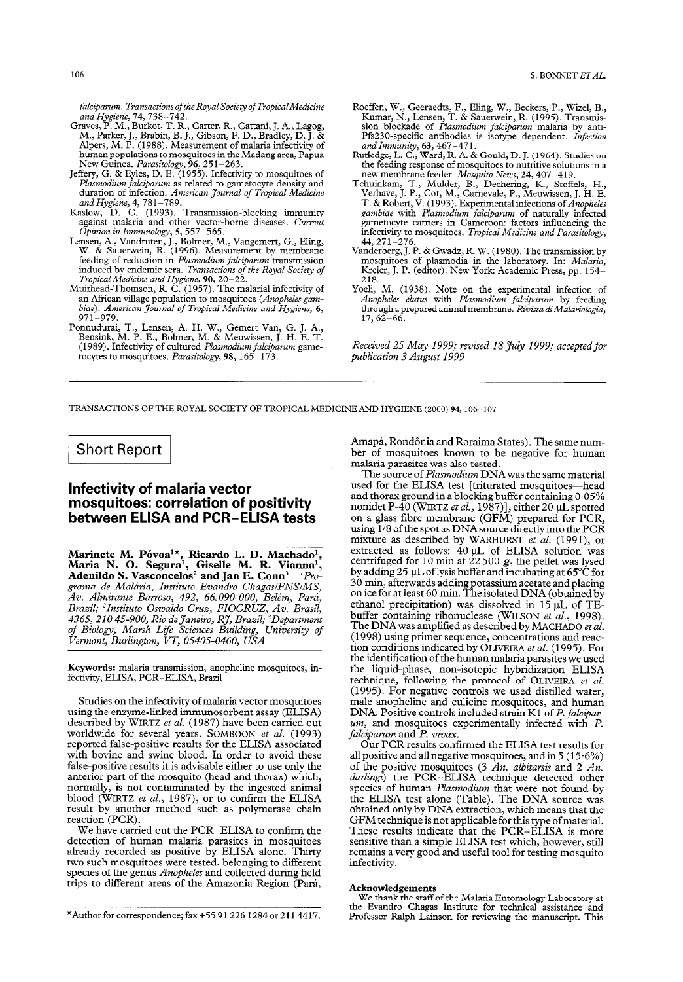falciparum. Transactions of the Royal Society of Tropical Medicine and Hygiene, 7**4**, 738–74

- Graves, P. M., Burkot, T. R., Carter, R., Cattani, J. A., Lagog, M., Parker, J., Brabin, B. J., Gibson, F. D., Bradley, D. J. & Alpers, M. P. (1988). Measurement of malaria infectivity of human populations to mosquitoes in the Madang area, Papua New Guinea. *Parasitology*, 96, 251–26
- Jeffery, G. & Eyles, D. E. (1955). Infectivity to mosquitoes of Plasmodium falciparum as related to gametocyte density and duration of infection. *American Journal of Tropical Medicii* and Hygiene, 4, 781-789.
- Kaslow, D. C. (1993). Transmission-blocking immunit against malaria and other vector-borne diseases. *Current* Opinion in Immunology, 5, 557-565.
- Lensen, A., Vandruten, J., Bolmer, M., Vangemert, G., Eling, W. & Sauerwein, R. (1996). Measurement by membrane feeding of reduction in Plasmodium falciparum transmission induced by endemic sera. Transactions of the Royal Society of
- Tropical Medicine and Hygiene, 90, 20-22. Muirhead-Thomson, R. C. (1957). The malarial infectivity of an African village population to mosquitoes (*Anopheles gam*biae). American Journal of Tropical Medicine and Hygiene, 6, 971-979.
- Ponnudurai, T., Lensen, A. H. W., Gemert Van, G. J. A., Bensink, M. P. E., Bolmer, M. & Meuwissen, J. H. E. T. (1989). Infectivity of cultured Plasmodium falciparum gametocytes to mosquitoes. Parasitology, 98, 165-173.
- Roeffen, W., Geeraedts, F., Eling, W., Beckers, P., Wizel, B., Kumar, N., Lensen, T. & Sauerwein, R. (1995). Transmis<br>sion blockade of *Plasmodium falciparum* malaria by anti Pfs230-specific antibodies is isotype dependent. *Infection* and Immunity, **63**, 467–47
- Rutledge, L. C., Ward, R. A. & Gould, D. J. (1964). Studies on the feeding response of mosquitoes to nutritive solutions in a new membrane feeder. *Mosquito News*, 24, 407–419.<br>Tchuinkam, T., Mulder, B., Dechering, K., Stoffels, H.,
- Verhave, J. P., Cot, M., Carnevale, P., Meuwissen, J. H. E. T. & Robert, V. (1993). Experimental infections of *Anopheles*<br>gambiae with Plasmodium falciparum of naturally infected gametocvte carriers in Cameroon: factors influencing the infectivity to mosquitoes. Tropical Medicine and Parasitology, 44,271-276.
- Vanderberg, J. P. & Gwadz, R. W. (1980). The transmission by mosquitoes of plasmodia in the laboratory. In: *Malaria*, Kreier, J. P. (editor). New York: Academic Press, pp. 154– 218.
- Yoeli, M. (1938). Note on the experimental infection of Anopheles elutus with Plasmodium falciparum by feeding through a prepared animal membrane. *Rivista di Malariologic*  $17,62\textrm{--}6$

Received 25 May 1999; revised 18 July 1999; accepted for publication 3 August 1999

TRANSACTIONS OF THE ROYAL SOCIETY OF TROPICAL MEDICINE AND HYGIENE (2000) 94,106-107

## **Short Report** <u>I in the second companion of the second companion of the second companion of the second companion of the second</u>

## Infectivity of malaria vector mosquitoes: correlation of positivity between ELISA and PCR-ELISA tests

Marinete M. Póvoa<sup>1</sup>\*, Ricardo L. D. Machado Maria N. O. Segura<sup>i</sup>, Giselle M. R. Vianna Adenildo S. Vasconcelos<sup>2</sup> and Jan E. Conn<sup>3</sup> <sup>'</sup>Programa de Malária, Instituto Evandro Chagas/FNS/MS, Av. Almirante Barroso, 492, 66.090-000, Belém, Pará, Brazil; <sup>2</sup>Instituto Oswaldo Cruz, FIOCRUZ, Av. Brasil, 4365, 210 45-900, Rio de Janeiro, RJ, Brazil; <sup>3</sup>Department of Biology, Marsh Life Sciences Building, University of Vermont, Burlington, VT, 05405-0460, USA

Keywords: malaria transmission, anopheline mosquitoes, infectivity, ELISA, PCR-ELISA, Brazil

Studies on the infectivity of malaria vector mosquitoes using the enzyme-linked immunosorbent assay (ELISA) described by WIRTZ et al. (1987) have been carried out worldwide for several years. SOMBOON et al. (1993) reported false-positive results for the ELISA associated with bovine and swine blood. In order to avoid these false-positive results it is advisable either to use only the anterior part of the mosquito (head and thorax) which, normally, is not contaminated by the ingested animal blood (WIRTZ *et al.*, 1987), or to confirm the ELIS. result by another method'such as polymerase chain reaction (PCR).

We have carried out the PCR-ELISA to confirm the detection of human malaria parasites in mosquitoes already recorded as positive by ELISA alone. Thirty two such mosquitoes were tested, belonging to different species of the genus Anopheles and collected during field trips to different areas of the Amazonia Region (Pari,

\*Author for correspondence; fax +55 91 226 1284 or 211 4417.

Amapá, Rondônia and Roraima States). The same number of mosquitoes known to be negative for human malaria parasites was also tested.

The source of *Plasmodium* DNA was the same material used for the ELISA test [triturated mosquitoes-head and thorax ground in a blocking buffer containing 0.05% nonidet P-40 (WIRTZ et al., 1987)], either 20  $\mu$ L spotted on a glass fibre membrane (GFM) prepared for PCR, using l/8 of the spot as DNA source directly into the PCR mixture as described by WARHURST et al. (1991), or extracted as follows:  $40 \mu L$  of ELISA solution was centrifuged for 10 min at 22 500  $g$ , the pellet was lysed by adding 25  $\mu$ L of lysis buffer and incubating at 65°C for 30 min, afterwards adding potassium acetate and placing on ice for at least 60 min. The isolated DNA (obtained by ethanol precipitation) was dissolved in  $15 \mu L$  of TEbuffer containing ribonuclease (WILSON et al., 1998). The DNA was amplified as described by MACHADO et al. (1998) using primer sequence, concentrations and reaction conditions indicated by OLIVEIRA et al. (1995). For the identification of the human malaria parasites we used the liquid-phase, non-isotopic hybridization ELISA technique, following the protocol of OLIVEIRA et al. (1995). For negative controls we used distilled water, male anopheline and culicine mosquitoes, and human DNA. Positive controls included strain K1 of P. falcipar $um<sub>1</sub>$ , and mosquitoes experimentally infected with  $P$ .  $falciparum$  and  $P.$  vivax.

Our PCR results confirmed the ELISA test results for all positive and all negative mosquitoes, and in  $5(15.6\%)$ of the positive mosquitoes (3 An. albitarsis and 2 An. darlingi) the PCR-ELISA technique detected other species of human Plasmodium that were not found by the ELISA test alone (Table). The DNA source was obtained only by DNA extraction, which means that the GFM technique is not applicable for this tvpe of material. These results indicate that the PCR-ELISA is more sensitive than a simple ELISA test which, however, still remains a very good and useful tool for testing mosquito infectivity.

## Acknowledgements

We thank the staff of the Malaria Entomology Laboratory at the Evandro Chagas Institute for technical assistance and Professor Ralph Lainson for reviewing the manuscript. This